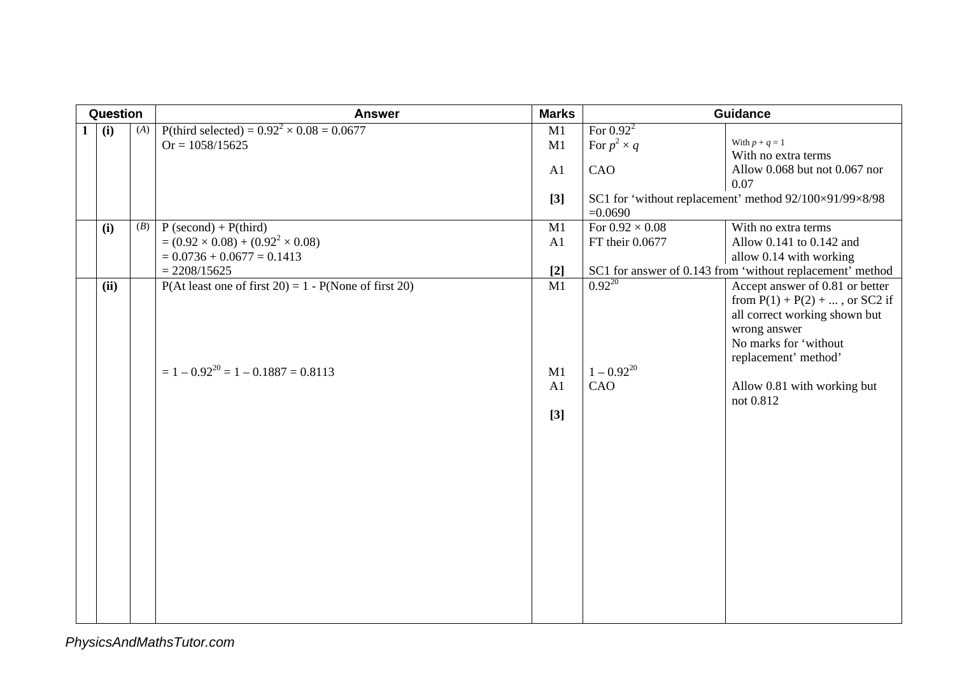| Question |      |     | <b>Answer</b>                                                                                               | <b>Marks</b>          | <b>Guidance</b>                           |                                                                                                                                                                        |
|----------|------|-----|-------------------------------------------------------------------------------------------------------------|-----------------------|-------------------------------------------|------------------------------------------------------------------------------------------------------------------------------------------------------------------------|
| 1        | (i)  | (A) | P(third selected) = $0.92^2 \times 0.08 = 0.0677$<br>$Or = 1058/15625$                                      | M1<br>M1<br>A1        | For $0.922$<br>For $p^2 \times q$<br>CAO  | With $p + q = 1$<br>With no extra terms<br>Allow 0.068 but not 0.067 nor<br>0.07                                                                                       |
|          |      |     |                                                                                                             | $[3]$                 | $=0.0690$                                 | SC1 for 'without replacement' method 92/100×91/99×8/98                                                                                                                 |
|          | (i)  | (B) | $P$ (second) + $P$ (third)<br>$= (0.92 \times 0.08) + (0.92^2 \times 0.08)$<br>$= 0.0736 + 0.0677 = 0.1413$ | $\overline{M1}$<br>A1 | For $0.92 \times 0.08$<br>FT their 0.0677 | With no extra terms<br>Allow 0.141 to 0.142 and<br>allow 0.14 with working                                                                                             |
|          |      |     | $= 2208/15625$                                                                                              | $[2]$                 |                                           | SC1 for answer of 0.143 from 'without replacement' method                                                                                                              |
|          | (ii) |     | $P($ At least one of first 20) = 1 - $P(None$ of first 20)                                                  | M1                    | $0.92^{20}$                               | Accept answer of 0.81 or better<br>from $P(1) + P(2) + $ , or SC2 if<br>all correct working shown but<br>wrong answer<br>No marks for 'without<br>replacement' method' |
|          |      |     | $= 1 - 0.92^{20} = 1 - 0.1887 = 0.8113$                                                                     | M1<br>A1<br>$[3]$     | $1 - 0.92^{20}$<br>CAO                    | Allow 0.81 with working but<br>not 0.812                                                                                                                               |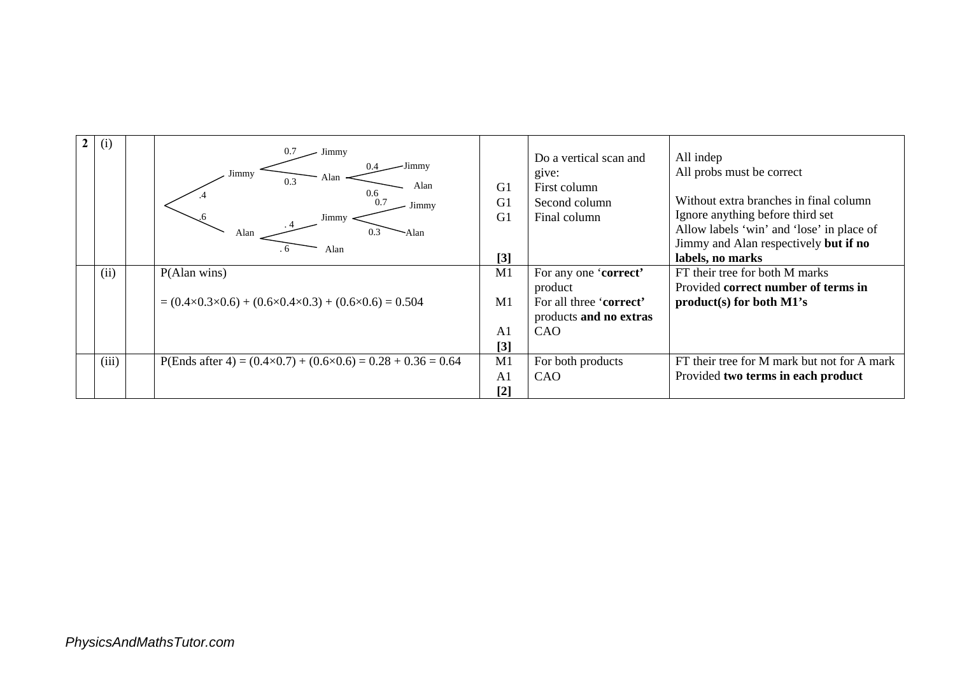| (1)   | 0.7<br>Jimmy<br>Jimmy<br>Jimmy<br>Alan<br>0.3<br>Alan<br>0.6<br>0.7<br>Jimmy<br>Jimmy<br>0.3<br>Alan<br>-Alan<br>Alan | G <sub>1</sub><br>G <sub>1</sub><br>G1<br>[3] | Do a vertical scan and<br>give:<br>First column<br>Second column<br>Final column | All indep<br>All probs must be correct<br>Without extra branches in final column<br>Ignore anything before third set<br>Allow labels 'win' and 'lose' in place of<br>Jimmy and Alan respectively but if no<br>labels, no marks |
|-------|-----------------------------------------------------------------------------------------------------------------------|-----------------------------------------------|----------------------------------------------------------------------------------|--------------------------------------------------------------------------------------------------------------------------------------------------------------------------------------------------------------------------------|
| (ii)  | P(Alan wins)                                                                                                          | M1                                            | For any one 'correct'<br>product                                                 | FT their tree for both M marks<br>Provided correct number of terms in                                                                                                                                                          |
|       | $= (0.4 \times 0.3 \times 0.6) + (0.6 \times 0.4 \times 0.3) + (0.6 \times 0.6) = 0.504$                              | M1                                            | For all three 'correct'<br>products and no extras                                | product(s) for both M1's                                                                                                                                                                                                       |
|       |                                                                                                                       | A <sub>1</sub>                                | CAO                                                                              |                                                                                                                                                                                                                                |
|       |                                                                                                                       | $[3]$                                         |                                                                                  |                                                                                                                                                                                                                                |
| (iii) | P(Ends after 4) = $(0.4 \times 0.7) + (0.6 \times 0.6) = 0.28 + 0.36 = 0.64$                                          | M1                                            | For both products                                                                | FT their tree for M mark but not for A mark                                                                                                                                                                                    |
|       |                                                                                                                       | A <sub>1</sub>                                | CAO                                                                              | Provided two terms in each product                                                                                                                                                                                             |
|       |                                                                                                                       | $[2]$                                         |                                                                                  |                                                                                                                                                                                                                                |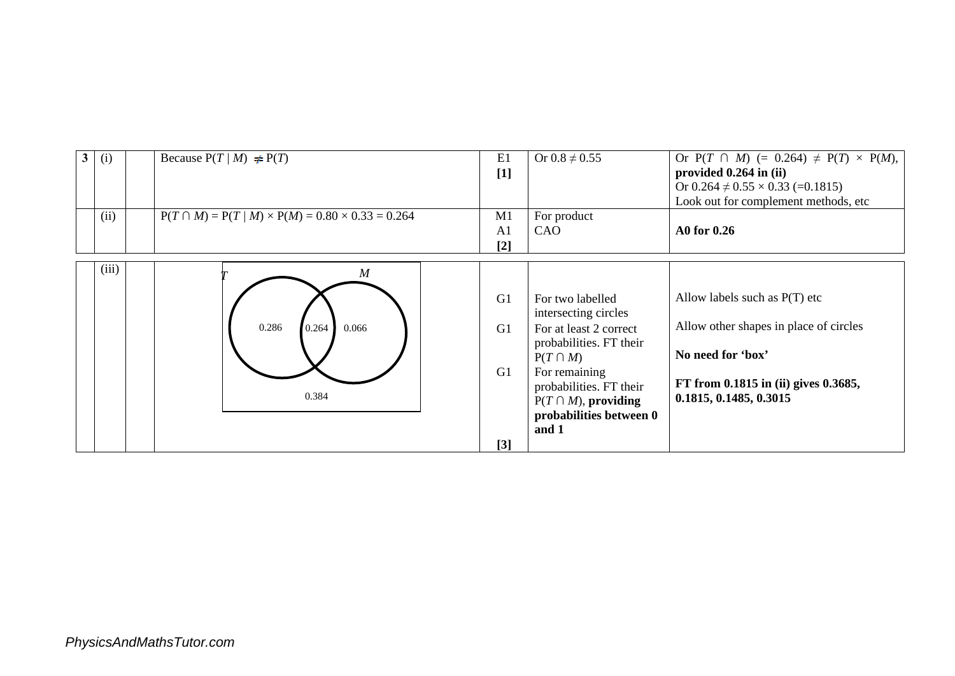| 3 <sup>1</sup> | (i)   | Because $P(T/M) \neq P(T)$                                    | E1<br>$[1]$                               | Or $0.8 \neq 0.55$                                                                                                                                                                                                          | Or $P(T \cap M)$ (= 0.264) $\neq$ $P(T) \times P(M)$ ,<br>provided 0.264 in (ii)<br>Or $0.264 \neq 0.55 \times 0.33$ (=0.1815)<br>Look out for complement methods, etc |
|----------------|-------|---------------------------------------------------------------|-------------------------------------------|-----------------------------------------------------------------------------------------------------------------------------------------------------------------------------------------------------------------------------|------------------------------------------------------------------------------------------------------------------------------------------------------------------------|
|                | (ii)  | $P(T \cap M) = P(T/M) \times P(M) = 0.80 \times 0.33 = 0.264$ | M1<br>A <sub>1</sub><br>$\lceil 2 \rceil$ | For product<br>CAO                                                                                                                                                                                                          | A0 for 0.26                                                                                                                                                            |
|                | (iii) | $\boldsymbol{M}$<br>0.286<br>0.066<br>0.264<br>0.384          | G1<br>G1<br>G1<br>[3]                     | For two labelled<br>intersecting circles<br>For at least 2 correct<br>probabilities. FT their<br>$P(T \cap M)$<br>For remaining<br>probabilities. FT their<br>$P(T \cap M)$ , providing<br>probabilities between 0<br>and 1 | Allow labels such as $P(T)$ etc<br>Allow other shapes in place of circles<br>No need for 'box'<br>FT from 0.1815 in (ii) gives 0.3685,<br>0.1815, 0.1485, 0.3015       |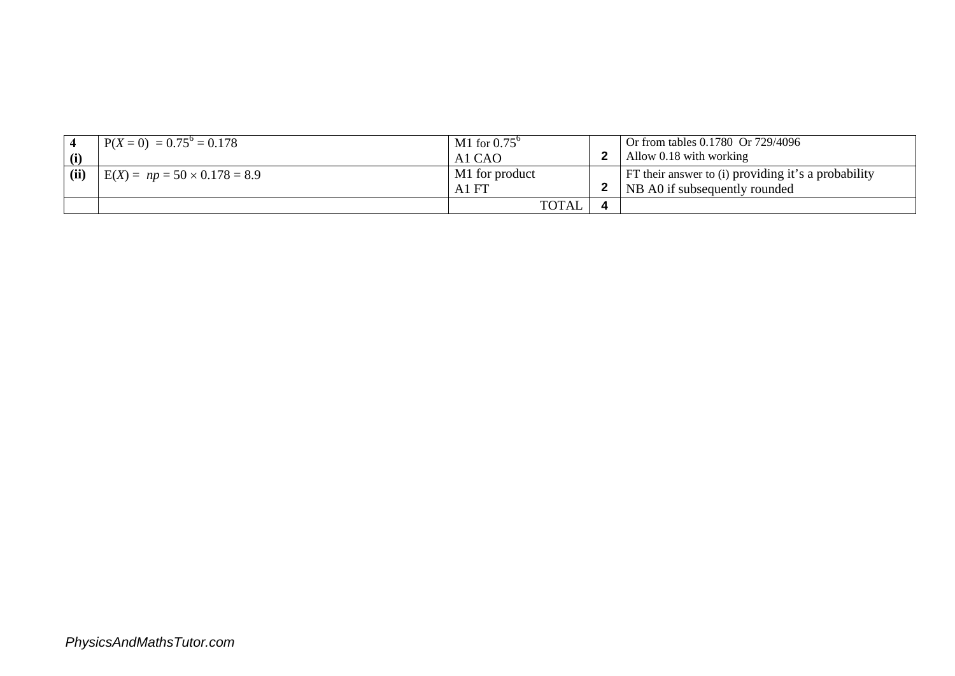| (i)  | $P(X = 0) = 0.75^{\circ} = 0.178$   | M1 for $0.75^{\circ}$<br>A <sub>1</sub> C <sub>A</sub> O | Or from tables 0.1780 Or 729/4096<br>Allow 0.18 with working                         |
|------|-------------------------------------|----------------------------------------------------------|--------------------------------------------------------------------------------------|
| (ii) | $E(X) = np = 50 \times 0.178 = 8.9$ | M1 for product<br>A1 FT                                  | FT their answer to (i) providing it's a probability<br>NB A0 if subsequently rounded |
|      |                                     | TOTAL                                                    |                                                                                      |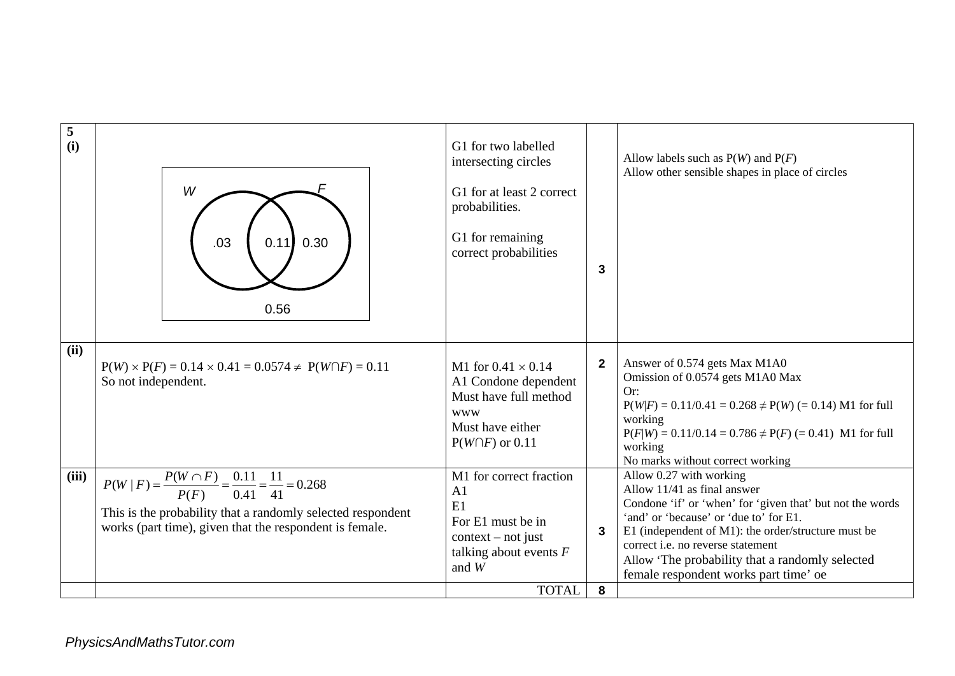| 5<br>(i)      | W<br>.03<br>0.30<br>0.11<br>0.56                                                                                                                                                                                                                     | G1 for two labelled<br>intersecting circles<br>G1 for at least 2 correct<br>probabilities.<br>G1 for remaining<br>correct probabilities                                                  | $\mathbf{3}$      | Allow labels such as $P(W)$ and $P(F)$<br>Allow other sensible shapes in place of circles                                                                                                                                                                                                                                                                                                                                           |
|---------------|------------------------------------------------------------------------------------------------------------------------------------------------------------------------------------------------------------------------------------------------------|------------------------------------------------------------------------------------------------------------------------------------------------------------------------------------------|-------------------|-------------------------------------------------------------------------------------------------------------------------------------------------------------------------------------------------------------------------------------------------------------------------------------------------------------------------------------------------------------------------------------------------------------------------------------|
| (ii)<br>(iii) | $P(W) \times P(F) = 0.14 \times 0.41 = 0.0574 \neq P(W \cap F) = 0.11$<br>So not independent.<br>$P(W \mid F) = \frac{P(W \cap F)}{P(F)} = \frac{0.11}{0.41} = \frac{11}{41} = 0.268$<br>This is the probability that a randomly selected respondent | M1 for $0.41 \times 0.14$<br>A1 Condone dependent<br>Must have full method<br><b>WWW</b><br>Must have either<br>$P(W \cap F)$ or 0.11<br>M1 for correct fraction<br>A <sub>1</sub><br>E1 | $\mathbf{2}$      | Answer of 0.574 gets Max M1A0<br>Omission of 0.0574 gets M1A0 Max<br>Or:<br>$P(W F) = 0.11/0.41 = 0.268 \neq P(W) (= 0.14)$ M1 for full<br>working<br>$P(F W) = 0.11/0.14 = 0.786 \neq P(F) (= 0.41)$ M1 for full<br>working<br>No marks without correct working<br>Allow 0.27 with working<br>Allow $11/41$ as final answer<br>Condone 'if' or 'when' for 'given that' but not the words<br>'and' or 'because' or 'due to' for E1. |
|               | works (part time), given that the respondent is female.                                                                                                                                                                                              | For E1 must be in<br>$context - not just$<br>talking about events $F$<br>and $W$<br><b>TOTAL</b>                                                                                         | $\mathbf{3}$<br>8 | E1 (independent of $M1$ ): the order/structure must be<br>correct <i>i.e.</i> no reverse statement<br>Allow 'The probability that a randomly selected<br>female respondent works part time' oe                                                                                                                                                                                                                                      |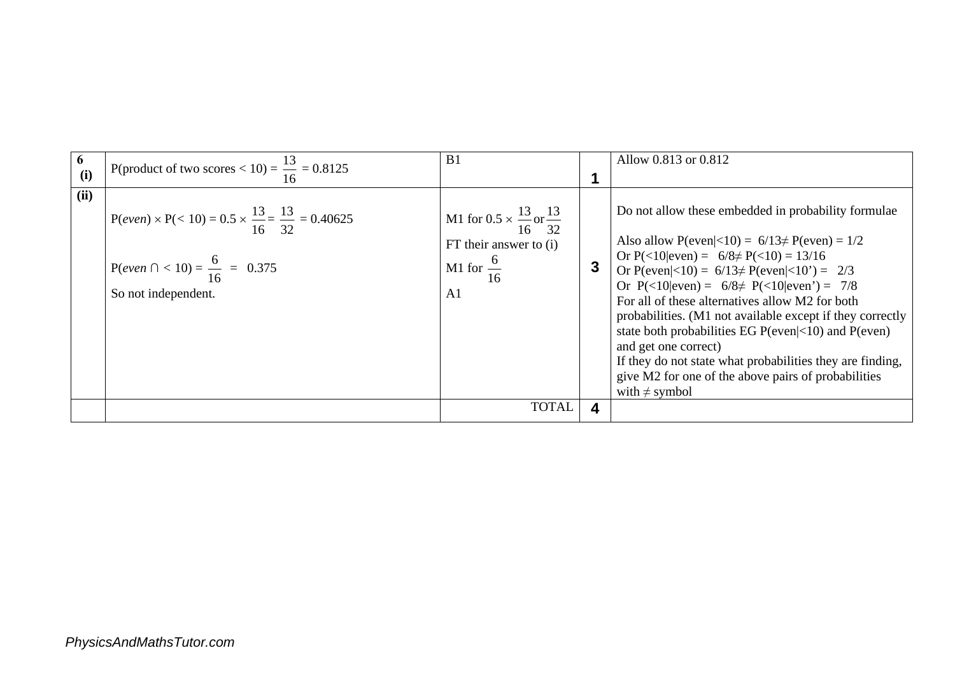| 6<br>(i) | P(product of two scores < 10) = $\frac{13}{16}$ = 0.8125                                                                                                | B <sub>1</sub>                                                                                                  |              | Allow 0.813 or 0.812                                                                                                                                                                                                                                                                                                                                                                                                                                                                                                                                                                                                                           |
|----------|---------------------------------------------------------------------------------------------------------------------------------------------------------|-----------------------------------------------------------------------------------------------------------------|--------------|------------------------------------------------------------------------------------------------------------------------------------------------------------------------------------------------------------------------------------------------------------------------------------------------------------------------------------------------------------------------------------------------------------------------------------------------------------------------------------------------------------------------------------------------------------------------------------------------------------------------------------------------|
| (ii)     | $P(even) \times P(< 10) = 0.5 \times \frac{13}{16} = \frac{13}{32} = 0.40625$<br>P(even $\bigcap$ < 10) = $\frac{6}{16}$ = 0.375<br>So not independent. | M1 for $0.5 \times \frac{13}{16}$ or $\frac{13}{32}$<br>$FT$ their answer to (i)<br>M1 for $\frac{6}{16}$<br>A1 | $\mathbf{3}$ | Do not allow these embedded in probability formulae<br>Also allow $P(even <10) = 6/13 \neq P(even) = 1/2$<br>Or $P(\leq 10 \text{even}) = 6/8 \neq P(\leq 10) = 13/16$<br>Or P(even <10) = $6/13 \neq P$ (even <10') = 2/3<br>Or $P(\leq 10 \text{even}) = 6/8 \neq P(\leq 10 \text{even}) = 7/8$<br>For all of these alternatives allow M2 for both<br>probabilities. (M1 not available except if they correctly<br>state both probabilities EG $P(even <10)$ and $P(even)$<br>and get one correct)<br>If they do not state what probabilities they are finding,<br>give M2 for one of the above pairs of probabilities<br>with $\neq$ symbol |
|          |                                                                                                                                                         | <b>TOTAL</b>                                                                                                    | 4            |                                                                                                                                                                                                                                                                                                                                                                                                                                                                                                                                                                                                                                                |